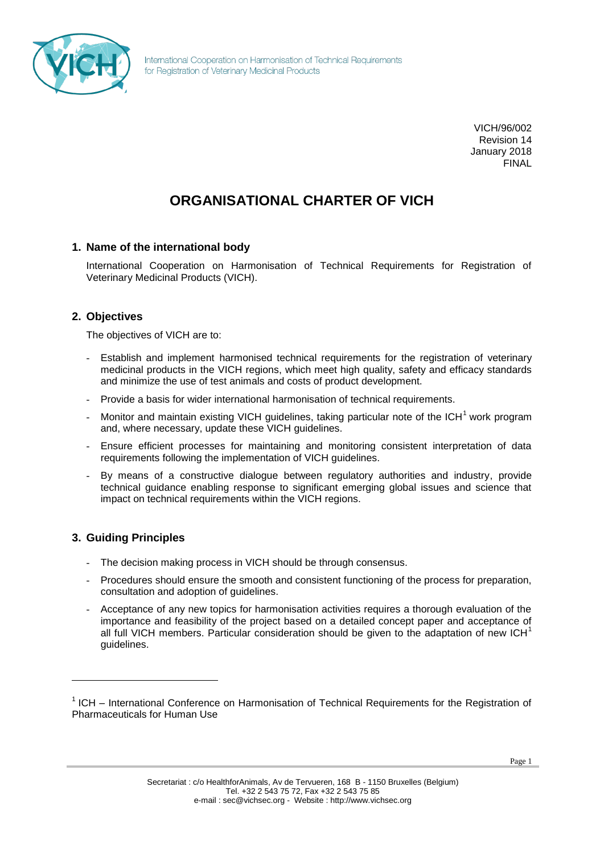

International Cooperation on Harmonisation of Technical Requirements for Registration of Veterinary Medicinal Products

> VICH/96/002 Revision 14 January 2018 FINAL

# **ORGANISATIONAL CHARTER OF VICH**

# **1. Name of the international body**

International Cooperation on Harmonisation of Technical Requirements for Registration of Veterinary Medicinal Products (VICH).

# **2. Objectives**

The objectives of VICH are to:

- Establish and implement harmonised technical requirements for the registration of veterinary medicinal products in the VICH regions, which meet high quality, safety and efficacy standards and minimize the use of test animals and costs of product development.
- Provide a basis for wider international harmonisation of technical requirements.
- Monitor and maintain existing VICH guidelines, taking particular note of the  $ICH<sup>1</sup>$  work program and, where necessary, update these VICH guidelines.
- Ensure efficient processes for maintaining and monitoring consistent interpretation of data requirements following the implementation of VICH guidelines.
- By means of a constructive dialogue between regulatory authorities and industry, provide technical guidance enabling response to significant emerging global issues and science that impact on technical requirements within the VICH regions.

# **3. Guiding Principles**

 $\overline{a}$ 

- The decision making process in VICH should be through consensus.
- Procedures should ensure the smooth and consistent functioning of the process for preparation, consultation and adoption of guidelines.
- Acceptance of any new topics for harmonisation activities requires a thorough evaluation of the importance and feasibility of the project based on a detailed concept paper and acceptance of all full VICH members. Particular consideration should be given to the adaptation of new ICH $<sup>1</sup>$ </sup> guidelines.

<sup>&</sup>lt;sup>1</sup> ICH – International Conference on Harmonisation of Technical Requirements for the Registration of Pharmaceuticals for Human Use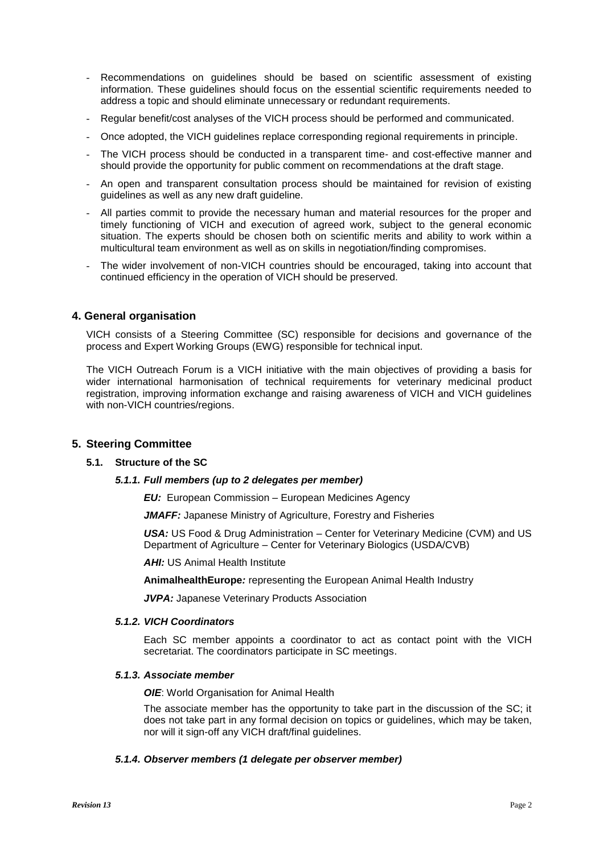- Recommendations on guidelines should be based on scientific assessment of existing information. These guidelines should focus on the essential scientific requirements needed to address a topic and should eliminate unnecessary or redundant requirements.
- Regular benefit/cost analyses of the VICH process should be performed and communicated.
- Once adopted, the VICH guidelines replace corresponding regional requirements in principle.
- The VICH process should be conducted in a transparent time- and cost-effective manner and should provide the opportunity for public comment on recommendations at the draft stage.
- An open and transparent consultation process should be maintained for revision of existing guidelines as well as any new draft guideline.
- All parties commit to provide the necessary human and material resources for the proper and timely functioning of VICH and execution of agreed work, subject to the general economic situation. The experts should be chosen both on scientific merits and ability to work within a multicultural team environment as well as on skills in negotiation/finding compromises.
- The wider involvement of non-VICH countries should be encouraged, taking into account that continued efficiency in the operation of VICH should be preserved.

## **4. General organisation**

VICH consists of a Steering Committee (SC) responsible for decisions and governance of the process and Expert Working Groups (EWG) responsible for technical input.

The VICH Outreach Forum is a VICH initiative with the main objectives of providing a basis for wider international harmonisation of technical requirements for veterinary medicinal product registration, improving information exchange and raising awareness of VICH and VICH guidelines with non-VICH countries/regions.

#### **5. Steering Committee**

## **5.1. Structure of the SC**

#### *5.1.1. Full members (up to 2 delegates per member)*

*EU:* European Commission – European Medicines Agency

*JMAFF:* Japanese Ministry of Agriculture, Forestry and Fisheries

*USA:* US Food & Drug Administration – Center for Veterinary Medicine (CVM) and US Department of Agriculture – Center for Veterinary Biologics (USDA/CVB)

**AHI: US Animal Health Institute** 

**AnimalhealthEurope***:* representing the European Animal Health Industry

**JVPA:** Japanese Veterinary Products Association

#### *5.1.2. VICH Coordinators*

Each SC member appoints a coordinator to act as contact point with the VICH secretariat. The coordinators participate in SC meetings.

#### *5.1.3. Associate member*

*OIE*: World Organisation for Animal Health

The associate member has the opportunity to take part in the discussion of the SC; it does not take part in any formal decision on topics or guidelines, which may be taken, nor will it sign-off any VICH draft/final guidelines.

#### *5.1.4. Observer members (1 delegate per observer member)*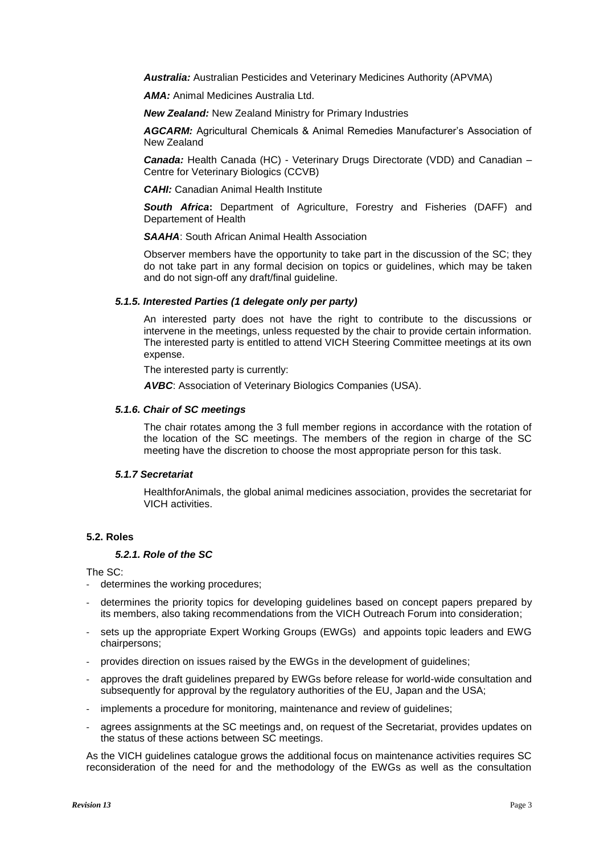*Australia:* Australian Pesticides and Veterinary Medicines Authority (APVMA)

*AMA:* Animal Medicines Australia Ltd.

*New Zealand:* New Zealand Ministry for Primary Industries

*AGCARM:* Agricultural Chemicals & Animal Remedies Manufacturer's Association of New Zealand

**Canada:** Health Canada (HC) - Veterinary Drugs Directorate (VDD) and Canadian -Centre for Veterinary Biologics (CCVB)

*CAHI:* Canadian Animal Health Institute

*South Africa***:** Department of Agriculture, Forestry and Fisheries (DAFF) and Departement of Health

*SAAHA*: South African Animal Health Association

Observer members have the opportunity to take part in the discussion of the SC; they do not take part in any formal decision on topics or guidelines, which may be taken and do not sign-off any draft/final guideline.

#### *5.1.5. Interested Parties (1 delegate only per party)*

An interested party does not have the right to contribute to the discussions or intervene in the meetings, unless requested by the chair to provide certain information. The interested party is entitled to attend VICH Steering Committee meetings at its own expense.

The interested party is currently:

*AVBC*: Association of Veterinary Biologics Companies (USA).

#### *5.1.6. Chair of SC meetings*

The chair rotates among the 3 full member regions in accordance with the rotation of the location of the SC meetings. The members of the region in charge of the SC meeting have the discretion to choose the most appropriate person for this task.

#### *5.1.7 Secretariat*

HealthforAnimals, the global animal medicines association, provides the secretariat for VICH activities.

#### **5.2. Roles**

#### *5.2.1. Role of the SC*

The SC:

- determines the working procedures;
- determines the priority topics for developing guidelines based on concept papers prepared by its members, also taking recommendations from the VICH Outreach Forum into consideration;
- sets up the appropriate Expert Working Groups (EWGs) and appoints topic leaders and EWG chairpersons;
- provides direction on issues raised by the EWGs in the development of guidelines;
- approves the draft guidelines prepared by EWGs before release for world-wide consultation and subsequently for approval by the regulatory authorities of the EU, Japan and the USA;
- implements a procedure for monitoring, maintenance and review of guidelines;
- agrees assignments at the SC meetings and, on request of the Secretariat, provides updates on the status of these actions between SC meetings.

As the VICH guidelines catalogue grows the additional focus on maintenance activities requires SC reconsideration of the need for and the methodology of the EWGs as well as the consultation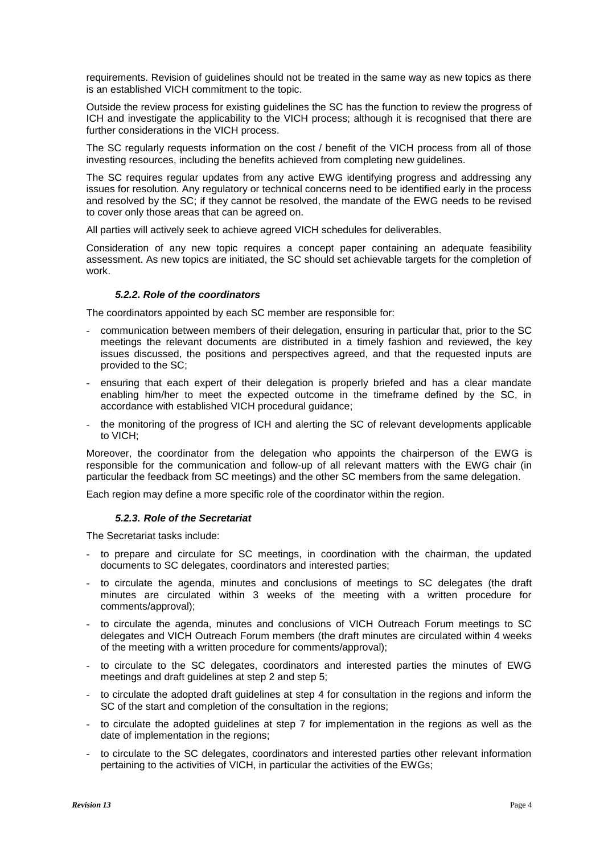requirements. Revision of guidelines should not be treated in the same way as new topics as there is an established VICH commitment to the topic.

Outside the review process for existing guidelines the SC has the function to review the progress of ICH and investigate the applicability to the VICH process; although it is recognised that there are further considerations in the VICH process.

The SC regularly requests information on the cost / benefit of the VICH process from all of those investing resources, including the benefits achieved from completing new guidelines.

The SC requires regular updates from any active EWG identifying progress and addressing any issues for resolution. Any regulatory or technical concerns need to be identified early in the process and resolved by the SC; if they cannot be resolved, the mandate of the EWG needs to be revised to cover only those areas that can be agreed on.

All parties will actively seek to achieve agreed VICH schedules for deliverables.

Consideration of any new topic requires a concept paper containing an adequate feasibility assessment. As new topics are initiated, the SC should set achievable targets for the completion of work.

## *5.2.2. Role of the coordinators*

The coordinators appointed by each SC member are responsible for:

- communication between members of their delegation, ensuring in particular that, prior to the SC meetings the relevant documents are distributed in a timely fashion and reviewed, the key issues discussed, the positions and perspectives agreed, and that the requested inputs are provided to the SC;
- ensuring that each expert of their delegation is properly briefed and has a clear mandate enabling him/her to meet the expected outcome in the timeframe defined by the SC, in accordance with established VICH procedural guidance;
- the monitoring of the progress of ICH and alerting the SC of relevant developments applicable to VICH;

Moreover, the coordinator from the delegation who appoints the chairperson of the EWG is responsible for the communication and follow-up of all relevant matters with the EWG chair (in particular the feedback from SC meetings) and the other SC members from the same delegation.

Each region may define a more specific role of the coordinator within the region.

#### *5.2.3. Role of the Secretariat*

The Secretariat tasks include:

- to prepare and circulate for SC meetings, in coordination with the chairman, the updated documents to SC delegates, coordinators and interested parties;
- to circulate the agenda, minutes and conclusions of meetings to SC delegates (the draft minutes are circulated within 3 weeks of the meeting with a written procedure for comments/approval);
- to circulate the agenda, minutes and conclusions of VICH Outreach Forum meetings to SC delegates and VICH Outreach Forum members (the draft minutes are circulated within 4 weeks of the meeting with a written procedure for comments/approval);
- to circulate to the SC delegates, coordinators and interested parties the minutes of EWG meetings and draft guidelines at step 2 and step 5;
- to circulate the adopted draft guidelines at step 4 for consultation in the regions and inform the SC of the start and completion of the consultation in the regions;
- to circulate the adopted guidelines at step 7 for implementation in the regions as well as the date of implementation in the regions;
- to circulate to the SC delegates, coordinators and interested parties other relevant information pertaining to the activities of VICH, in particular the activities of the EWGs;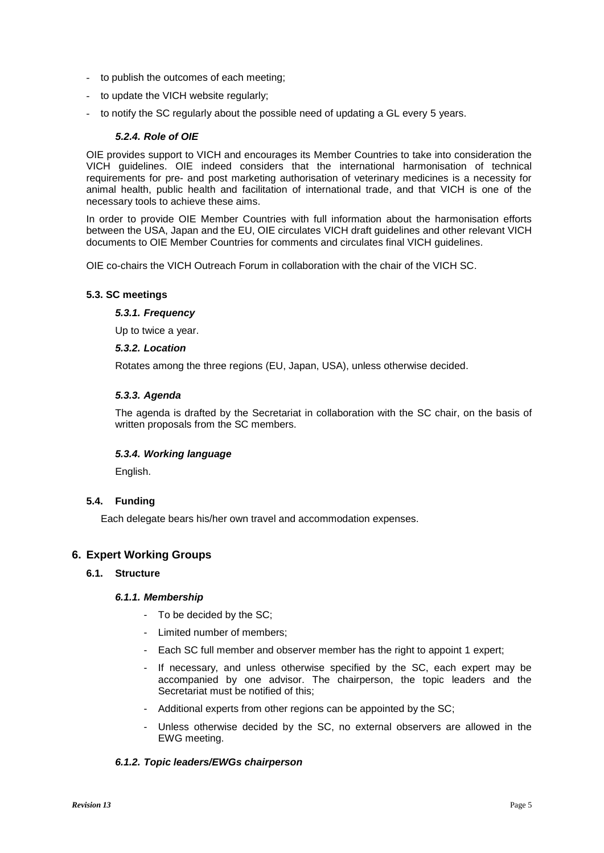- to publish the outcomes of each meeting;
- to update the VICH website regularly;
- to notify the SC regularly about the possible need of updating a GL every 5 years.

## *5.2.4. Role of OIE*

OIE provides support to VICH and encourages its Member Countries to take into consideration the VICH guidelines. OIE indeed considers that the international harmonisation of technical requirements for pre- and post marketing authorisation of veterinary medicines is a necessity for animal health, public health and facilitation of international trade, and that VICH is one of the necessary tools to achieve these aims.

In order to provide OIE Member Countries with full information about the harmonisation efforts between the USA, Japan and the EU, OIE circulates VICH draft guidelines and other relevant VICH documents to OIE Member Countries for comments and circulates final VICH guidelines.

OIE co-chairs the VICH Outreach Forum in collaboration with the chair of the VICH SC.

## **5.3. SC meetings**

## *5.3.1. Frequency*

Up to twice a year.

## *5.3.2. Location*

Rotates among the three regions (EU, Japan, USA), unless otherwise decided.

# *5.3.3. Agenda*

The agenda is drafted by the Secretariat in collaboration with the SC chair, on the basis of written proposals from the SC members.

# *5.3.4. Working language*

English.

# **5.4. Funding**

Each delegate bears his/her own travel and accommodation expenses.

# **6. Expert Working Groups**

# **6.1. Structure**

#### *6.1.1. Membership*

- To be decided by the SC;
- Limited number of members;
- Each SC full member and observer member has the right to appoint 1 expert;
- If necessary, and unless otherwise specified by the SC, each expert may be accompanied by one advisor. The chairperson, the topic leaders and the Secretariat must be notified of this;
- Additional experts from other regions can be appointed by the SC;
- Unless otherwise decided by the SC, no external observers are allowed in the EWG meeting.

# *6.1.2. Topic leaders/EWGs chairperson*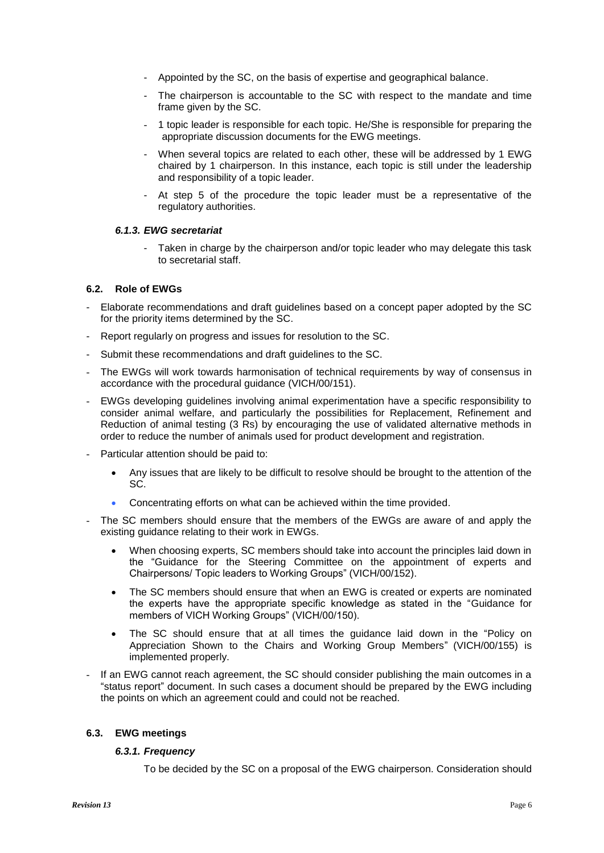- Appointed by the SC, on the basis of expertise and geographical balance.
- The chairperson is accountable to the SC with respect to the mandate and time frame given by the SC.
- 1 topic leader is responsible for each topic. He/She is responsible for preparing the appropriate discussion documents for the EWG meetings.
- When several topics are related to each other, these will be addressed by 1 EWG chaired by 1 chairperson. In this instance, each topic is still under the leadership and responsibility of a topic leader.
- At step 5 of the procedure the topic leader must be a representative of the regulatory authorities.

## *6.1.3. EWG secretariat*

Taken in charge by the chairperson and/or topic leader who may delegate this task to secretarial staff.

## **6.2. Role of EWGs**

- Elaborate recommendations and draft guidelines based on a concept paper adopted by the SC for the priority items determined by the SC.
- Report regularly on progress and issues for resolution to the SC.
- Submit these recommendations and draft guidelines to the SC.
- The EWGs will work towards harmonisation of technical requirements by way of consensus in accordance with the procedural guidance (VICH/00/151).
- EWGs developing guidelines involving animal experimentation have a specific responsibility to consider animal welfare, and particularly the possibilities for Replacement, Refinement and Reduction of animal testing (3 Rs) by encouraging the use of validated alternative methods in order to reduce the number of animals used for product development and registration.
- Particular attention should be paid to:
	- Any issues that are likely to be difficult to resolve should be brought to the attention of the SC.
	- Concentrating efforts on what can be achieved within the time provided.
- The SC members should ensure that the members of the EWGs are aware of and apply the existing guidance relating to their work in EWGs.
	- When choosing experts, SC members should take into account the principles laid down in the "Guidance for the Steering Committee on the appointment of experts and Chairpersons/ Topic leaders to Working Groups" (VICH/00/152).
	- The SC members should ensure that when an EWG is created or experts are nominated the experts have the appropriate specific knowledge as stated in the "Guidance for members of VICH Working Groups" (VICH/00/150).
	- The SC should ensure that at all times the guidance laid down in the "Policy on Appreciation Shown to the Chairs and Working Group Members" (VICH/00/155) is implemented properly.
- If an EWG cannot reach agreement, the SC should consider publishing the main outcomes in a "status report" document. In such cases a document should be prepared by the EWG including the points on which an agreement could and could not be reached.

# **6.3. EWG meetings**

# *6.3.1. Frequency*

To be decided by the SC on a proposal of the EWG chairperson. Consideration should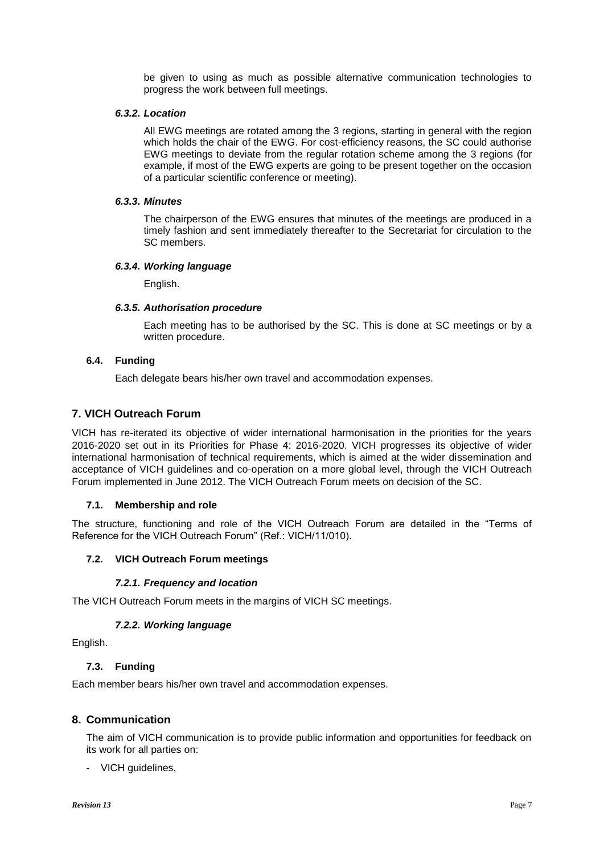be given to using as much as possible alternative communication technologies to progress the work between full meetings.

## *6.3.2. Location*

All EWG meetings are rotated among the 3 regions, starting in general with the region which holds the chair of the EWG. For cost-efficiency reasons, the SC could authorise EWG meetings to deviate from the regular rotation scheme among the 3 regions (for example, if most of the EWG experts are going to be present together on the occasion of a particular scientific conference or meeting).

#### *6.3.3. Minutes*

The chairperson of the EWG ensures that minutes of the meetings are produced in a timely fashion and sent immediately thereafter to the Secretariat for circulation to the SC members.

## *6.3.4. Working language*

English.

## *6.3.5. Authorisation procedure*

Each meeting has to be authorised by the SC. This is done at SC meetings or by a written procedure.

## **6.4. Funding**

Each delegate bears his/her own travel and accommodation expenses.

# **7. VICH Outreach Forum**

VICH has re-iterated its objective of wider international harmonisation in the priorities for the years 2016-2020 set out in its Priorities for Phase 4: 2016-2020. VICH progresses its objective of wider international harmonisation of technical requirements, which is aimed at the wider dissemination and acceptance of VICH guidelines and co-operation on a more global level, through the VICH Outreach Forum implemented in June 2012. The VICH Outreach Forum meets on decision of the SC.

# **7.1. Membership and role**

The structure, functioning and role of the VICH Outreach Forum are detailed in the "Terms of Reference for the VICH Outreach Forum" (Ref.: VICH/11/010).

# **7.2. VICH Outreach Forum meetings**

# *7.2.1. Frequency and location*

The VICH Outreach Forum meets in the margins of VICH SC meetings.

# *7.2.2. Working language*

English.

# **7.3. Funding**

Each member bears his/her own travel and accommodation expenses.

# **8. Communication**

The aim of VICH communication is to provide public information and opportunities for feedback on its work for all parties on:

- VICH guidelines,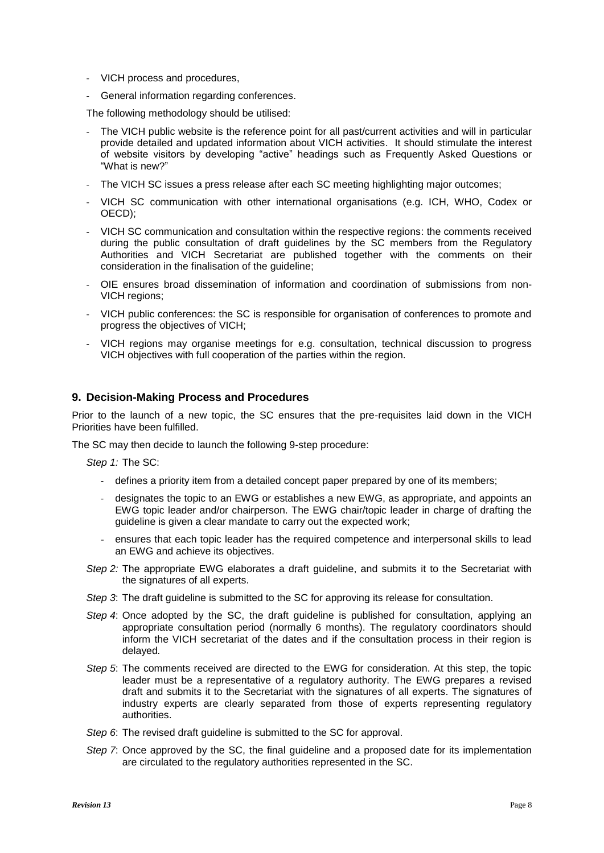- VICH process and procedures,
- General information regarding conferences.

The following methodology should be utilised:

- The VICH public website is the reference point for all past/current activities and will in particular provide detailed and updated information about VICH activities. It should stimulate the interest of website visitors by developing "active" headings such as Frequently Asked Questions or "What is new?"
- The VICH SC issues a press release after each SC meeting highlighting major outcomes;
- VICH SC communication with other international organisations (e.g. ICH, WHO, Codex or OECD);
- VICH SC communication and consultation within the respective regions: the comments received during the public consultation of draft guidelines by the SC members from the Regulatory Authorities and VICH Secretariat are published together with the comments on their consideration in the finalisation of the guideline;
- OIE ensures broad dissemination of information and coordination of submissions from non-VICH regions;
- VICH public conferences: the SC is responsible for organisation of conferences to promote and progress the objectives of VICH;
- VICH regions may organise meetings for e.g. consultation, technical discussion to progress VICH objectives with full cooperation of the parties within the region.

# **9. Decision-Making Process and Procedures**

Prior to the launch of a new topic, the SC ensures that the pre-requisites laid down in the VICH Priorities have been fulfilled.

The SC may then decide to launch the following 9-step procedure:

*Step 1:* The SC:

- defines a priority item from a detailed concept paper prepared by one of its members;
- designates the topic to an EWG or establishes a new EWG, as appropriate, and appoints an EWG topic leader and/or chairperson. The EWG chair/topic leader in charge of drafting the guideline is given a clear mandate to carry out the expected work;
- ensures that each topic leader has the required competence and interpersonal skills to lead an EWG and achieve its objectives.
- *Step 2:* The appropriate EWG elaborates a draft guideline, and submits it to the Secretariat with the signatures of all experts.
- *Step 3*: The draft guideline is submitted to the SC for approving its release for consultation.
- *Step 4*: Once adopted by the SC, the draft guideline is published for consultation, applying an appropriate consultation period (normally 6 months). The regulatory coordinators should inform the VICH secretariat of the dates and if the consultation process in their region is delayed*.*
- *Step 5*: The comments received are directed to the EWG for consideration. At this step, the topic leader must be a representative of a regulatory authority. The EWG prepares a revised draft and submits it to the Secretariat with the signatures of all experts. The signatures of industry experts are clearly separated from those of experts representing regulatory authorities.
- *Step 6*: The revised draft guideline is submitted to the SC for approval.
- *Step 7*: Once approved by the SC, the final guideline and a proposed date for its implementation are circulated to the regulatory authorities represented in the SC.